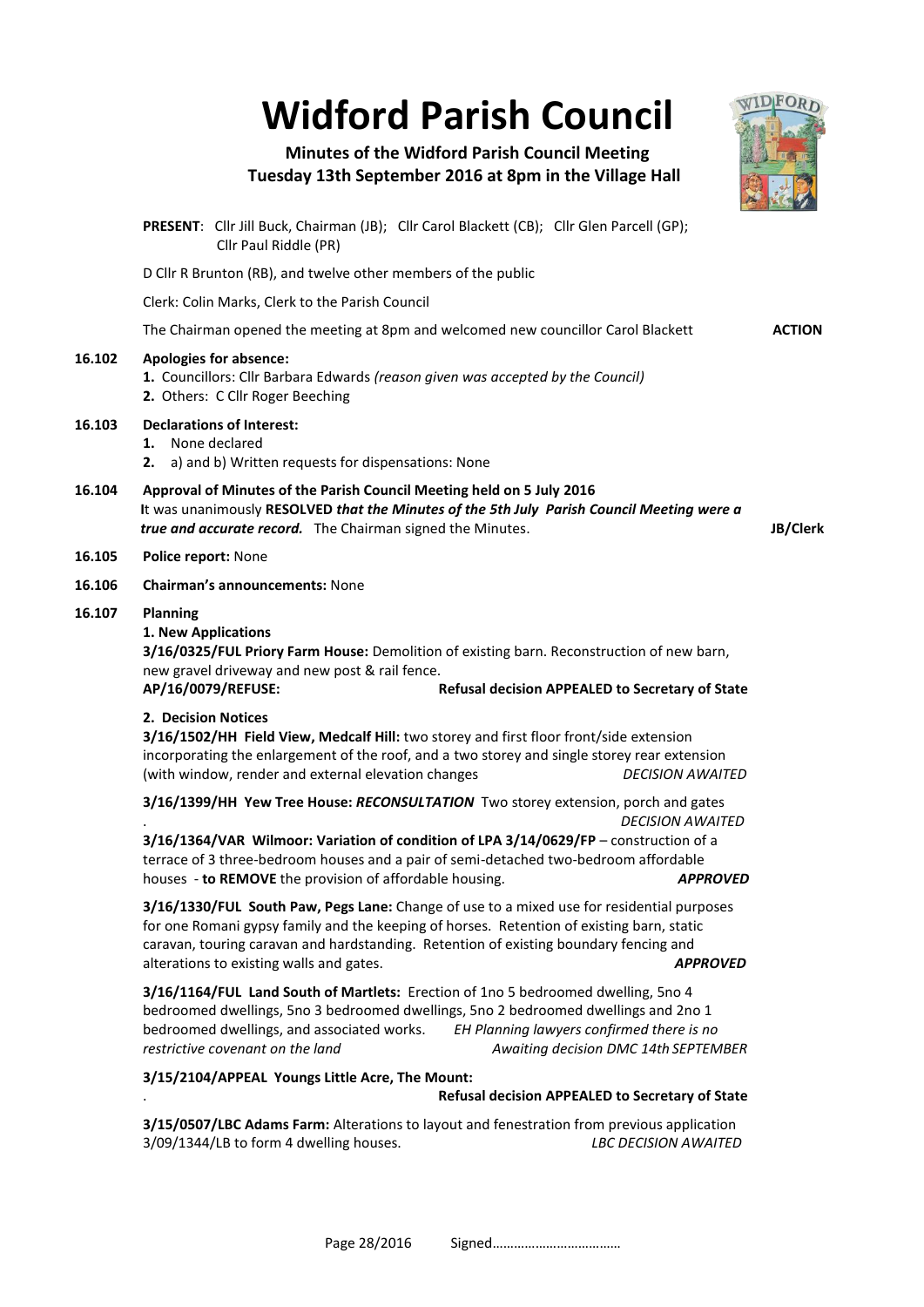# **Widford Parish Council**



# **Minutes of the Widford Parish Council Meeting Tuesday 13th September 2016 at 8pm in the Village Hall**

|        | PRESENT: Cllr Jill Buck, Chairman (JB); Cllr Carol Blackett (CB); Cllr Glen Parcell (GP);<br>Cllr Paul Riddle (PR)                                                                                                                                                                                                                              |               |  |  |  |  |  |
|--------|-------------------------------------------------------------------------------------------------------------------------------------------------------------------------------------------------------------------------------------------------------------------------------------------------------------------------------------------------|---------------|--|--|--|--|--|
|        | D Cllr R Brunton (RB), and twelve other members of the public                                                                                                                                                                                                                                                                                   |               |  |  |  |  |  |
|        | Clerk: Colin Marks, Clerk to the Parish Council                                                                                                                                                                                                                                                                                                 |               |  |  |  |  |  |
|        | The Chairman opened the meeting at 8pm and welcomed new councillor Carol Blackett                                                                                                                                                                                                                                                               | <b>ACTION</b> |  |  |  |  |  |
| 16.102 | <b>Apologies for absence:</b><br>1. Councillors: Cllr Barbara Edwards (reason given was accepted by the Council)<br>2. Others: C Cllr Roger Beeching                                                                                                                                                                                            |               |  |  |  |  |  |
| 16.103 | <b>Declarations of Interest:</b><br>1. None declared<br>2. a) and b) Written requests for dispensations: None                                                                                                                                                                                                                                   |               |  |  |  |  |  |
| 16.104 | Approval of Minutes of the Parish Council Meeting held on 5 July 2016<br>It was unanimously RESOLVED that the Minutes of the 5th July Parish Council Meeting were a<br>true and accurate record. The Chairman signed the Minutes.<br>JB/Clerk                                                                                                   |               |  |  |  |  |  |
| 16.105 | Police report: None                                                                                                                                                                                                                                                                                                                             |               |  |  |  |  |  |
| 16.106 | <b>Chairman's announcements: None</b>                                                                                                                                                                                                                                                                                                           |               |  |  |  |  |  |
| 16.107 | <b>Planning</b><br>1. New Applications<br>3/16/0325/FUL Priory Farm House: Demolition of existing barn. Reconstruction of new barn,<br>new gravel driveway and new post & rail fence.<br>AP/16/0079/REFUSE:<br>Refusal decision APPEALED to Secretary of State                                                                                  |               |  |  |  |  |  |
|        | 2. Decision Notices<br>3/16/1502/HH Field View, Medcalf Hill: two storey and first floor front/side extension<br>incorporating the enlargement of the roof, and a two storey and single storey rear extension<br>(with window, render and external elevation changes<br><b>DECISION AWAITED</b>                                                 |               |  |  |  |  |  |
|        | 3/16/1399/HH Yew Tree House: RECONSULTATION Two storey extension, porch and gates                                                                                                                                                                                                                                                               |               |  |  |  |  |  |
|        | <b>DECISION AWAITED</b><br>3/16/1364/VAR Wilmoor: Variation of condition of LPA 3/14/0629/FP - construction of a<br>terrace of 3 three-bedroom houses and a pair of semi-detached two-bedroom affordable<br>houses - to REMOVE the provision of affordable housing.<br><b>APPROVED</b>                                                          |               |  |  |  |  |  |
|        | 3/16/1330/FUL South Paw, Pegs Lane: Change of use to a mixed use for residential purposes<br>for one Romani gypsy family and the keeping of horses. Retention of existing barn, static<br>caravan, touring caravan and hardstanding. Retention of existing boundary fencing and<br>alterations to existing walls and gates.<br><b>APPROVED</b>  |               |  |  |  |  |  |
|        | 3/16/1164/FUL Land South of Martlets: Erection of 1no 5 bedroomed dwelling, 5no 4<br>bedroomed dwellings, 5no 3 bedroomed dwellings, 5no 2 bedroomed dwellings and 2no 1<br>bedroomed dwellings, and associated works.<br>EH Planning lawyers confirmed there is no<br>restrictive covenant on the land<br>Awaiting decision DMC 14th SEPTEMBER |               |  |  |  |  |  |
|        | 3/15/2104/APPEAL Youngs Little Acre, The Mount:                                                                                                                                                                                                                                                                                                 |               |  |  |  |  |  |
|        | Refusal decision APPEALED to Secretary of State                                                                                                                                                                                                                                                                                                 |               |  |  |  |  |  |
|        | 3/15/0507/LBC Adams Farm: Alterations to layout and fenestration from previous application<br>3/09/1344/LB to form 4 dwelling houses.<br><b>LBC DECISION AWAITED</b>                                                                                                                                                                            |               |  |  |  |  |  |
|        | Page 28/2016                                                                                                                                                                                                                                                                                                                                    |               |  |  |  |  |  |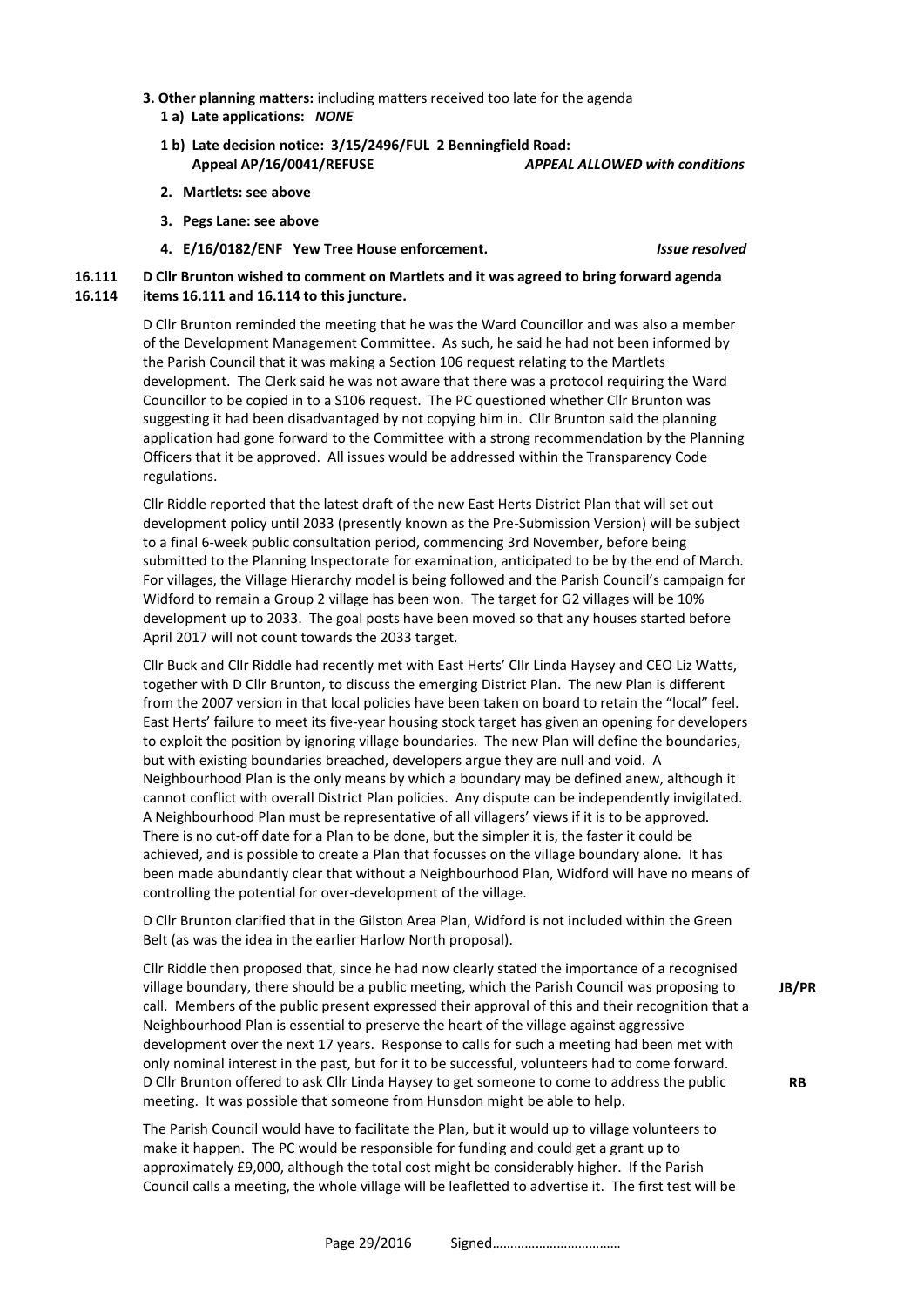- **3. Other planning matters:** including matters received too late for the agenda  **1 a) Late applications:** *NONE*
	- **1 b) Late decision notice: 3/15/2496/FUL 2 Benningfield Road: Appeal AP/16/0041/REFUSE** *APPEAL ALLOWED with conditions*
	- **2. Martlets: see above**
	- **3. Pegs Lane: see above**
	- **4. E/16/0182/ENF Yew Tree House enforcement.** *Issue resolved*

**16.111 16.114 D Cllr Brunton wished to comment on Martlets and it was agreed to bring forward agenda items 16.111 and 16.114 to this juncture.**

> D Cllr Brunton reminded the meeting that he was the Ward Councillor and was also a member of the Development Management Committee. As such, he said he had not been informed by the Parish Council that it was making a Section 106 request relating to the Martlets development. The Clerk said he was not aware that there was a protocol requiring the Ward Councillor to be copied in to a S106 request. The PC questioned whether Cllr Brunton was suggesting it had been disadvantaged by not copying him in. Cllr Brunton said the planning application had gone forward to the Committee with a strong recommendation by the Planning Officers that it be approved. All issues would be addressed within the Transparency Code regulations.

> Cllr Riddle reported that the latest draft of the new East Herts District Plan that will set out development policy until 2033 (presently known as the Pre-Submission Version) will be subject to a final 6-week public consultation period, commencing 3rd November, before being submitted to the Planning Inspectorate for examination, anticipated to be by the end of March. For villages, the Village Hierarchy model is being followed and the Parish Council's campaign for Widford to remain a Group 2 village has been won. The target for G2 villages will be 10% development up to 2033. The goal posts have been moved so that any houses started before April 2017 will not count towards the 2033 target.

> Cllr Buck and Cllr Riddle had recently met with East Herts' Cllr Linda Haysey and CEO Liz Watts, together with D Cllr Brunton, to discuss the emerging District Plan. The new Plan is different from the 2007 version in that local policies have been taken on board to retain the "local" feel. East Herts' failure to meet its five-year housing stock target has given an opening for developers to exploit the position by ignoring village boundaries. The new Plan will define the boundaries, but with existing boundaries breached, developers argue they are null and void. A Neighbourhood Plan is the only means by which a boundary may be defined anew, although it cannot conflict with overall District Plan policies. Any dispute can be independently invigilated. A Neighbourhood Plan must be representative of all villagers' views if it is to be approved. There is no cut-off date for a Plan to be done, but the simpler it is, the faster it could be achieved, and is possible to create a Plan that focusses on the village boundary alone. It has been made abundantly clear that without a Neighbourhood Plan, Widford will have no means of controlling the potential for over-development of the village.

D Cllr Brunton clarified that in the Gilston Area Plan, Widford is not included within the Green Belt (as was the idea in the earlier Harlow North proposal).

Cllr Riddle then proposed that, since he had now clearly stated the importance of a recognised village boundary, there should be a public meeting, which the Parish Council was proposing to call. Members of the public present expressed their approval of this and their recognition that a Neighbourhood Plan is essential to preserve the heart of the village against aggressive development over the next 17 years. Response to calls for such a meeting had been met with only nominal interest in the past, but for it to be successful, volunteers had to come forward. D Cllr Brunton offered to ask Cllr Linda Haysey to get someone to come to address the public meeting. It was possible that someone from Hunsdon might be able to help.

The Parish Council would have to facilitate the Plan, but it would up to village volunteers to make it happen. The PC would be responsible for funding and could get a grant up to approximately £9,000, although the total cost might be considerably higher. If the Parish Council calls a meeting, the whole village will be leafletted to advertise it. The first test will be **JB/PR**

**RB**

Page 29/2016 Signed………………………………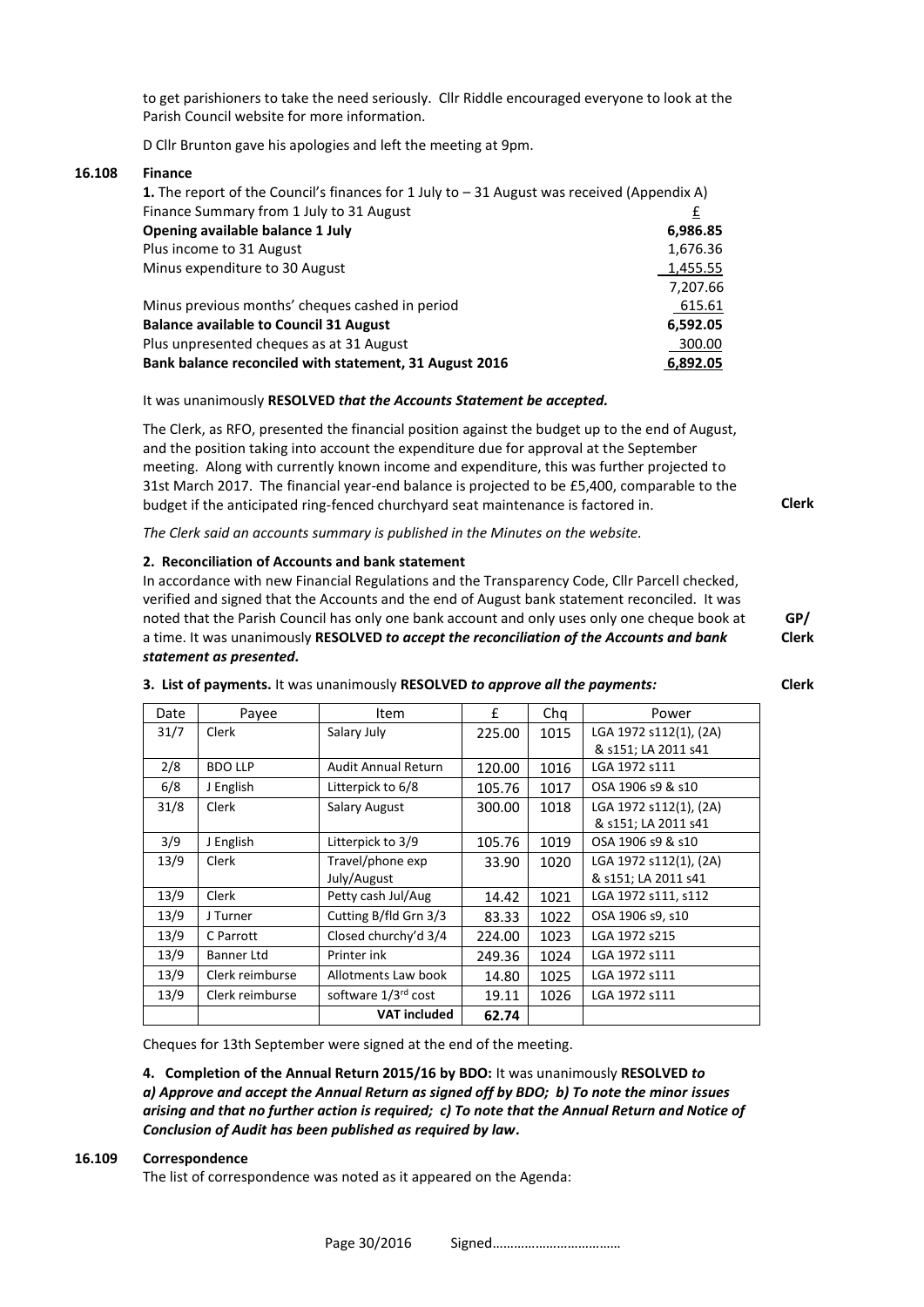to get parishioners to take the need seriously. Cllr Riddle encouraged everyone to look at the Parish Council website for more information.

D Cllr Brunton gave his apologies and left the meeting at 9pm.

# **16.108 Finance**

| <b>1.</b> The report of the Council's finances for 1 July to $-31$ August was received (Appendix A) |          |  |  |
|-----------------------------------------------------------------------------------------------------|----------|--|--|
| Finance Summary from 1 July to 31 August                                                            | £        |  |  |
| Opening available balance 1 July                                                                    | 6,986.85 |  |  |
| Plus income to 31 August                                                                            | 1,676.36 |  |  |
| Minus expenditure to 30 August                                                                      | 1,455.55 |  |  |
|                                                                                                     | 7,207.66 |  |  |
| Minus previous months' cheques cashed in period                                                     | 615.61   |  |  |
| <b>Balance available to Council 31 August</b>                                                       | 6,592.05 |  |  |
| Plus unpresented cheques as at 31 August                                                            | 300.00   |  |  |
| Bank balance reconciled with statement, 31 August 2016                                              | 6.892.05 |  |  |

## It was unanimously **RESOLVED** *that the Accounts Statement be accepted.*

The Clerk, as RFO, presented the financial position against the budget up to the end of August, and the position taking into account the expenditure due for approval at the September meeting. Along with currently known income and expenditure, this was further projected to 31st March 2017. The financial year-end balance is projected to be £5,400, comparable to the budget if the anticipated ring-fenced churchyard seat maintenance is factored in.

*The Clerk said an accounts summary is published in the Minutes on the website.*

### **2. Reconciliation of Accounts and bank statement**

In accordance with new Financial Regulations and the Transparency Code, Cllr Parcell checked, verified and signed that the Accounts and the end of August bank statement reconciled. It was noted that the Parish Council has only one bank account and only uses only one cheque book at a time. It was unanimously **RESOLVED** *to accept the reconciliation of the Accounts and bank statement as presented.*  **GP/ Clerk**

|  | 3. List of payments. It was unanimously RESOLVED to approve all the payments: | Clerk |
|--|-------------------------------------------------------------------------------|-------|
|--|-------------------------------------------------------------------------------|-------|

| Date | Payee             | Item                       | £      | Chq  | Power                  |
|------|-------------------|----------------------------|--------|------|------------------------|
| 31/7 | Clerk             | Salary July                | 225.00 | 1015 | LGA 1972 s112(1), (2A) |
|      |                   |                            |        |      | & s151; LA 2011 s41    |
| 2/8  | <b>BDO LLP</b>    | <b>Audit Annual Return</b> | 120.00 | 1016 | LGA 1972 s111          |
| 6/8  | J English         | Litterpick to 6/8          | 105.76 | 1017 | OSA 1906 s9 & s10      |
| 31/8 | Clerk             | Salary August              | 300.00 | 1018 | LGA 1972 s112(1), (2A) |
|      |                   |                            |        |      | & s151; LA 2011 s41    |
| 3/9  | J English         | Litterpick to 3/9          | 105.76 | 1019 | OSA 1906 s9 & s10      |
| 13/9 | Clerk             | Travel/phone exp           | 33.90  | 1020 | LGA 1972 s112(1), (2A) |
|      |                   | July/August                |        |      | & s151; LA 2011 s41    |
| 13/9 | Clerk             | Petty cash Jul/Aug         | 14.42  | 1021 | LGA 1972 s111, s112    |
| 13/9 | J Turner          | Cutting B/fld Grn 3/3      | 83.33  | 1022 | OSA 1906 s9, s10       |
| 13/9 | C Parrott         | Closed churchy'd 3/4       | 224.00 | 1023 | LGA 1972 s215          |
| 13/9 | <b>Banner Ltd</b> | Printer ink                | 249.36 | 1024 | LGA 1972 s111          |
| 13/9 | Clerk reimburse   | Allotments Law book        | 14.80  | 1025 | LGA 1972 s111          |
| 13/9 | Clerk reimburse   | software 1/3rd cost        | 19.11  | 1026 | LGA 1972 s111          |
|      |                   | <b>VAT included</b>        | 62.74  |      |                        |

Cheques for 13th September were signed at the end of the meeting.

**4. Completion of the Annual Return 2015/16 by BDO:** It was unanimously **RESOLVED** *to a) Approve and accept the Annual Return as signed off by BDO; b) To note the minor issues arising and that no further action is required; c) To note that the Annual Return and Notice of Conclusion of Audit has been published as required by law.*

#### **16.109 Correspondence**

The list of correspondence was noted as it appeared on the Agenda:

Page 30/2016 Signed………………………………

**Clerk**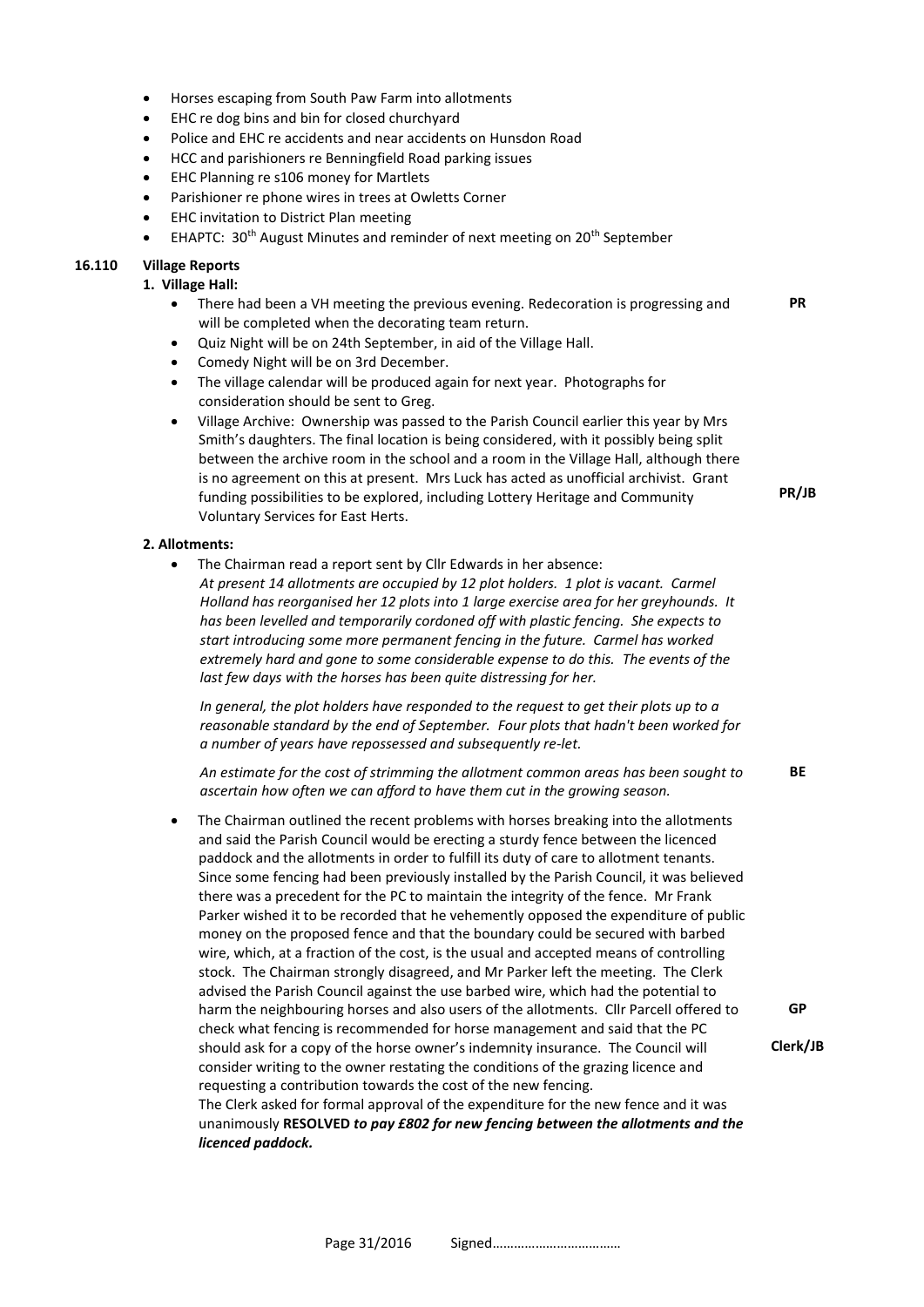- Horses escaping from South Paw Farm into allotments
- EHC re dog bins and bin for closed churchyard
- Police and EHC re accidents and near accidents on Hunsdon Road
- HCC and parishioners re Benningfield Road parking issues
- EHC Planning re s106 money for Martlets
- Parishioner re phone wires in trees at Owletts Corner
- EHC invitation to District Plan meeting
- EHAPTC: 30<sup>th</sup> August Minutes and reminder of next meeting on 20<sup>th</sup> September

### **16.110 Village Reports**

#### **1. Village Hall:**

- There had been a VH meeting the previous evening. Redecoration is progressing and will be completed when the decorating team return.
- Quiz Night will be on 24th September, in aid of the Village Hall.
- Comedy Night will be on 3rd December.
- The village calendar will be produced again for next year. Photographs for consideration should be sent to Greg.
- Village Archive: Ownership was passed to the Parish Council earlier this year by Mrs Smith's daughters. The final location is being considered, with it possibly being split between the archive room in the school and a room in the Village Hall, although there is no agreement on this at present. Mrs Luck has acted as unofficial archivist. Grant funding possibilities to be explored, including Lottery Heritage and Community Voluntary Services for East Herts.

#### **2. Allotments:**

• The Chairman read a report sent by Cllr Edwards in her absence: *At present 14 allotments are occupied by 12 plot holders. 1 plot is vacant. Carmel Holland has reorganised her 12 plots into 1 large exercise area for her greyhounds. It has been levelled and temporarily cordoned off with plastic fencing. She expects to start introducing some more permanent fencing in the future. Carmel has worked extremely hard and gone to some considerable expense to do this. The events of the last few days with the horses has been quite distressing for her.*

*In general, the plot holders have responded to the request to get their plots up to a reasonable standard by the end of September. Four plots that hadn't been worked for a number of years have repossessed and subsequently re-let.*

*An estimate for the cost of strimming the allotment common areas has been sought to ascertain how often we can afford to have them cut in the growing season.* **BE**

The Chairman outlined the recent problems with horses breaking into the allotments and said the Parish Council would be erecting a sturdy fence between the licenced paddock and the allotments in order to fulfill its duty of care to allotment tenants. Since some fencing had been previously installed by the Parish Council, it was believed there was a precedent for the PC to maintain the integrity of the fence. Mr Frank Parker wished it to be recorded that he vehemently opposed the expenditure of public money on the proposed fence and that the boundary could be secured with barbed wire, which, at a fraction of the cost, is the usual and accepted means of controlling stock. The Chairman strongly disagreed, and Mr Parker left the meeting. The Clerk advised the Parish Council against the use barbed wire, which had the potential to harm the neighbouring horses and also users of the allotments. Cllr Parcell offered to check what fencing is recommended for horse management and said that the PC should ask for a copy of the horse owner's indemnity insurance. The Council will consider writing to the owner restating the conditions of the grazing licence and requesting a contribution towards the cost of the new fencing. The Clerk asked for formal approval of the expenditure for the new fence and it was unanimously **RESOLVED** *to pay £802 for new fencing between the allotments and the licenced paddock.* **GP Clerk/JB**

**PR/JB**

**PR**